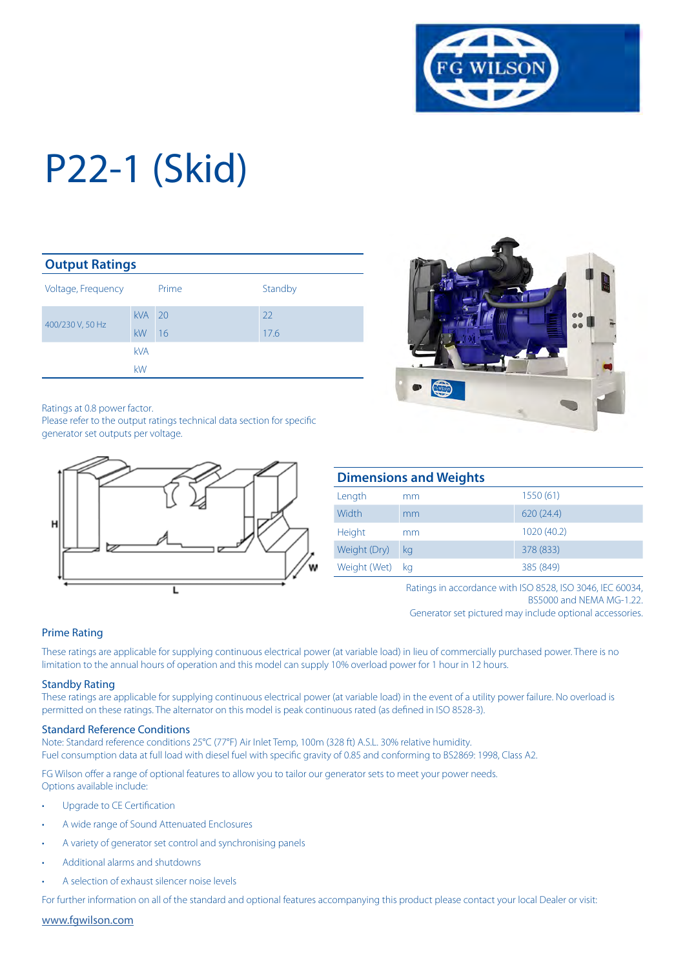

| <b>Output Ratings</b> |            |       |         |  |  |
|-----------------------|------------|-------|---------|--|--|
| Voltage, Frequency    |            | Prime | Standby |  |  |
|                       | <b>kVA</b> | 20    | 22      |  |  |
| 400/230 V, 50 Hz      | kW         | 16    | 17.6    |  |  |
|                       | <b>kVA</b> |       |         |  |  |
|                       | kW         |       |         |  |  |

Ratings at 0.8 power factor.

Please refer to the output ratings technical data section for specific generator set outputs per voltage.





| <b>Dimensions and Weights</b> |    |             |  |  |
|-------------------------------|----|-------------|--|--|
| Length                        | mm | 1550(61)    |  |  |
| Width                         | mm | 620(24.4)   |  |  |
| Height                        | mm | 1020 (40.2) |  |  |
| Weight (Dry)                  | kg | 378 (833)   |  |  |
| Weight (Wet)                  | ka | 385 (849)   |  |  |

Ratings in accordance with ISO 8528, ISO 3046, IEC 60034, BS5000 and NEMA MG-1.22. Generator set pictured may include optional accessories.

#### Prime Rating

These ratings are applicable for supplying continuous electrical power (at variable load) in lieu of commercially purchased power. There is no limitation to the annual hours of operation and this model can supply 10% overload power for 1 hour in 12 hours.

#### Standby Rating

These ratings are applicable for supplying continuous electrical power (at variable load) in the event of a utility power failure. No overload is permitted on these ratings. The alternator on this model is peak continuous rated (as defined in ISO 8528-3).

#### Standard Reference Conditions

Note: Standard reference conditions 25°C (77°F) Air Inlet Temp, 100m (328 ft) A.S.L. 30% relative humidity. Fuel consumption data at full load with diesel fuel with specific gravity of 0.85 and conforming to BS2869: 1998, Class A2.

FG Wilson offer a range of optional features to allow you to tailor our generator sets to meet your power needs. Options available include:

- Upgrade to CE Certification
- A wide range of Sound Attenuated Enclosures
- A variety of generator set control and synchronising panels
- Additional alarms and shutdowns
- A selection of exhaust silencer noise levels

For further information on all of the standard and optional features accompanying this product please contact your local Dealer or visit:

www.fgwilson.com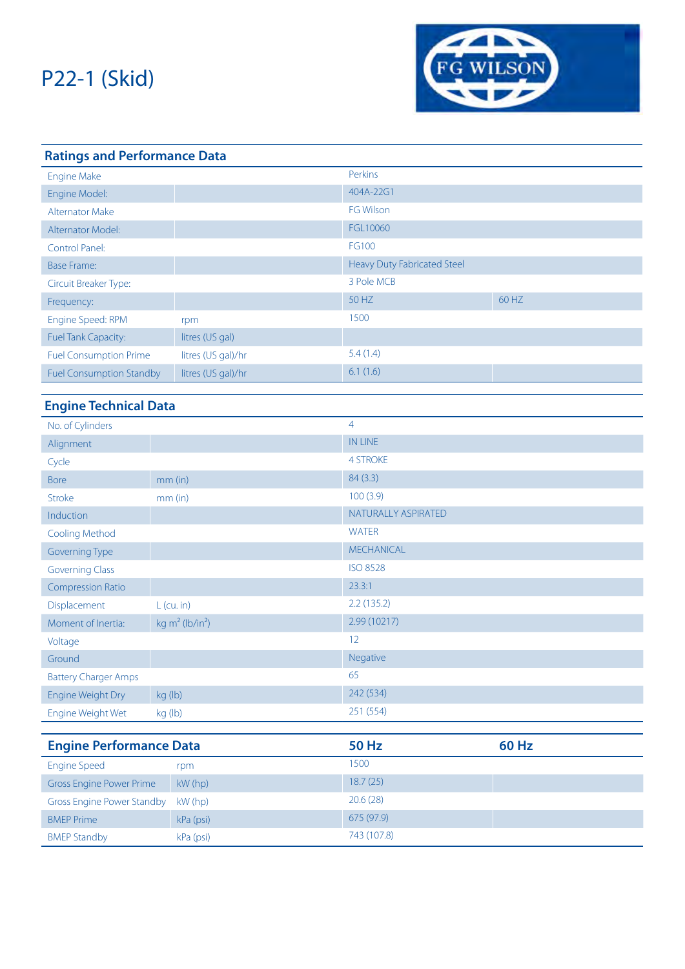

| <b>Ratings and Performance Data</b> |                    |                             |       |  |  |
|-------------------------------------|--------------------|-----------------------------|-------|--|--|
| <b>Engine Make</b>                  |                    | Perkins                     |       |  |  |
| Engine Model:                       |                    | 404A-22G1                   |       |  |  |
| <b>Alternator Make</b>              |                    | <b>FG Wilson</b>            |       |  |  |
| Alternator Model:                   |                    | FGL10060                    |       |  |  |
| Control Panel:                      |                    | FG100                       |       |  |  |
| <b>Base Frame:</b>                  |                    | Heavy Duty Fabricated Steel |       |  |  |
| Circuit Breaker Type:               |                    | 3 Pole MCB                  |       |  |  |
| Frequency:                          |                    | 50 HZ                       | 60 HZ |  |  |
| Engine Speed: RPM                   | rpm                | 1500                        |       |  |  |
| <b>Fuel Tank Capacity:</b>          | litres (US gal)    |                             |       |  |  |
| <b>Fuel Consumption Prime</b>       | litres (US gal)/hr | 5.4(1.4)                    |       |  |  |
| <b>Fuel Consumption Standby</b>     | litres (US gal)/hr | 6.1(1.6)                    |       |  |  |

### **Engine Technical Data**

| No. of Cylinders                  |                                | $\overline{4}$      |              |
|-----------------------------------|--------------------------------|---------------------|--------------|
| Alignment                         |                                | <b>IN LINE</b>      |              |
| Cycle                             |                                | <b>4 STROKE</b>     |              |
| <b>Bore</b>                       | $mm$ (in)                      | 84 (3.3)            |              |
| Stroke                            | $mm$ (in)                      | 100(3.9)            |              |
| Induction                         |                                | NATURALLY ASPIRATED |              |
| <b>Cooling Method</b>             |                                | <b>WATER</b>        |              |
| <b>Governing Type</b>             |                                | <b>MECHANICAL</b>   |              |
| <b>Governing Class</b>            |                                | <b>ISO 8528</b>     |              |
| <b>Compression Ratio</b>          |                                | 23.3:1              |              |
| Displacement                      | $L$ (cu. in)                   | 2.2(135.2)          |              |
| Moment of Inertia:                | kg $m^2$ (lb/in <sup>2</sup> ) | 2.99 (10217)        |              |
| Voltage                           |                                | 12                  |              |
| Ground                            |                                | Negative            |              |
| <b>Battery Charger Amps</b>       |                                | 65                  |              |
| Engine Weight Dry                 | kg (lb)                        | 242 (534)           |              |
| Engine Weight Wet                 | kg (lb)                        | 251 (554)           |              |
|                                   |                                |                     |              |
| <b>Engine Performance Data</b>    |                                | <b>50 Hz</b>        | <b>60 Hz</b> |
| <b>Engine Speed</b>               | rpm                            | 1500                |              |
| <b>Gross Engine Power Prime</b>   | kW (hp)                        | 18.7(25)            |              |
| <b>Gross Engine Power Standby</b> | kW (hp)                        | 20.6(28)            |              |
| <b>BMEP Prime</b>                 | kPa (psi)                      | 675 (97.9)          |              |
| <b>BMEP Standby</b>               | kPa (psi)                      | 743 (107.8)         |              |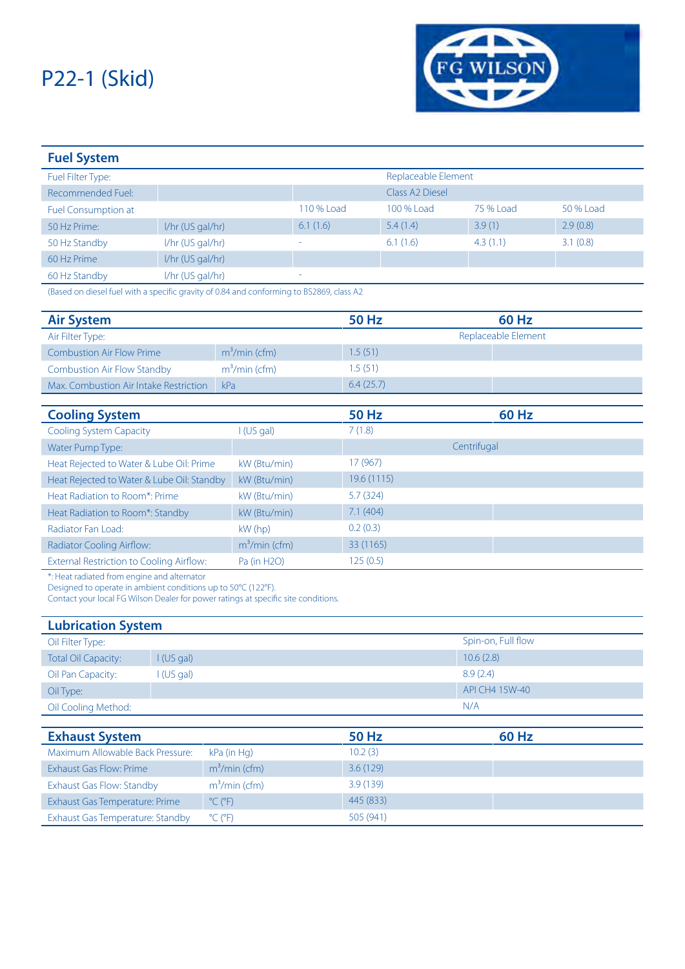

| <b>Fuel System</b>         |                    |            |                     |           |           |
|----------------------------|--------------------|------------|---------------------|-----------|-----------|
| Fuel Filter Type:          |                    |            | Replaceable Element |           |           |
| Recommended Fuel:          |                    |            | Class A2 Diesel     |           |           |
| <b>Fuel Consumption at</b> |                    | 110 % Load | 100 % Load          | 75 % Load | 50 % Load |
| 50 Hz Prime:               | 1/hr (US gal/hr)   | 6.1(1.6)   | 5.4(1.4)            | 3.9(1)    | 2.9(0.8)  |
| 50 Hz Standby              | I/hr (US gal/hr)   | ۰          | 6.1(1.6)            | 4.3(1.1)  | 3.1(0.8)  |
| 60 Hz Prime                | $I/hr$ (US gal/hr) |            |                     |           |           |
| 60 Hz Standby              | I/hr (US gal/hr)   | $\equiv$   |                     |           |           |

(Based on diesel fuel with a specific gravity of 0.84 and conforming to BS2869, class A2

| <b>Air System</b>                               |                 | <b>50 Hz</b> | <b>60 Hz</b>        |  |
|-------------------------------------------------|-----------------|--------------|---------------------|--|
| Air Filter Type:                                |                 |              | Replaceable Element |  |
| <b>Combustion Air Flow Prime</b>                | $m3/min$ (cfm)  | 1.5(51)      |                     |  |
| <b>Combustion Air Flow Standby</b>              | $m3/min$ (cfm)  | 1.5(51)      |                     |  |
| Max. Combustion Air Intake Restriction          | kPa             | 6.4(25.7)    |                     |  |
|                                                 |                 |              |                     |  |
| <b>Cooling System</b>                           |                 | <b>50 Hz</b> | <b>60 Hz</b>        |  |
| <b>Cooling System Capacity</b>                  | $\cup$ (US gal) | 7(1.8)       |                     |  |
| Water Pump Type:                                |                 |              | Centrifugal         |  |
| Heat Rejected to Water & Lube Oil: Prime        | kW (Btu/min)    | 17 (967)     |                     |  |
| Heat Rejected to Water & Lube Oil: Standby      | kW (Btu/min)    | 19.6 (1115)  |                     |  |
| Heat Radiation to Room*: Prime                  | kW (Btu/min)    | 5.7(324)     |                     |  |
| Heat Radiation to Room*: Standby                | kW (Btu/min)    | 7.1(404)     |                     |  |
| Radiator Fan Load:                              | $kW$ (hp)       | 0.2(0.3)     |                     |  |
| <b>Radiator Cooling Airflow:</b>                | $m3/min$ (cfm)  | 33 (1165)    |                     |  |
| <b>External Restriction to Cooling Airflow:</b> | Pa (in H2O)     | 125(0.5)     |                     |  |

\*: Heat radiated from engine and alternator

Designed to operate in ambient conditions up to 50°C (122°F).

Contact your local FG Wilson Dealer for power ratings at specific site conditions.

| <b>Lubrication System</b>  |           |                    |  |  |
|----------------------------|-----------|--------------------|--|--|
| Oil Filter Type:           |           | Spin-on, Full flow |  |  |
| <b>Total Oil Capacity:</b> | I(US gal) | 10.6(2.8)          |  |  |
| Oil Pan Capacity:          | I(US gal) | 8.9(2.4)           |  |  |
| Oil Type:                  |           | API CH4 15W-40     |  |  |
| Oil Cooling Method:        |           | N/A                |  |  |

| <b>Exhaust System</b>            |                              | 50 Hz     | 60 Hz |
|----------------------------------|------------------------------|-----------|-------|
| Maximum Allowable Back Pressure: | kPa (in Hg)                  | 10.2(3)   |       |
| Exhaust Gas Flow: Prime          | $m3/min$ (cfm)               | 3.6(129)  |       |
| Exhaust Gas Flow: Standby        | $m3/min$ (cfm)               | 3.9(139)  |       |
| Exhaust Gas Temperature: Prime   | $^{\circ}$ C ( $^{\circ}$ F) | 445 (833) |       |
| Exhaust Gas Temperature: Standby | $^{\circ}$ C ( $^{\circ}$ F) | 505 (941) |       |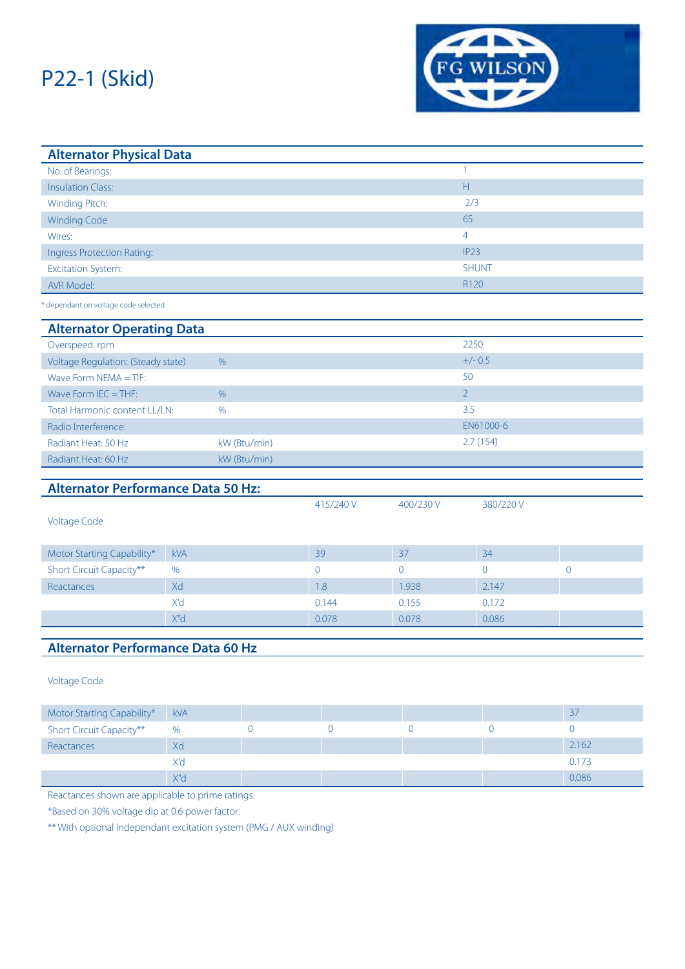

| <b>Alternator Physical Data</b>           |            |                |                |                |                         |                |  |
|-------------------------------------------|------------|----------------|----------------|----------------|-------------------------|----------------|--|
| No. of Bearings:                          |            |                |                |                | $\mathbf{1}$            |                |  |
| <b>Insulation Class:</b>                  |            |                |                |                | $\overline{\mathsf{H}}$ |                |  |
| Winding Pitch:                            |            |                |                | 2/3            |                         |                |  |
| <b>Winding Code</b>                       |            |                |                |                | 6S                      |                |  |
| Wires:                                    |            |                |                |                | $\overline{4}$          |                |  |
| <b>Ingress Protection Rating:</b>         |            |                |                |                | IP <sub>23</sub>        |                |  |
| <b>Excitation System:</b>                 |            |                |                |                | <b>SHUNT</b>            |                |  |
| <b>AVR Model:</b>                         |            |                |                |                | R120                    |                |  |
| * dependant on voltage code selected      |            |                |                |                |                         |                |  |
| <b>Alternator Operating Data</b>          |            |                |                |                |                         |                |  |
| Overspeed: rpm                            |            |                |                |                | 2250                    |                |  |
| Voltage Regulation: (Steady state)        |            | $\%$           |                |                | $+/- 0.5$               |                |  |
| Wave Form $NEMA = TIF$ :                  |            |                |                |                | 50                      |                |  |
| Wave Form $IEC = THF$ :                   |            | $\%$           |                |                | $\overline{2}$          |                |  |
| Total Harmonic content LL/LN:<br>%        |            |                | 3.5            |                |                         |                |  |
| Radio Interference:                       |            | EN61000-6      |                |                |                         |                |  |
| Radiant Heat: 50 Hz                       |            | kW (Btu/min)   |                |                | 2.7(154)                |                |  |
| Radiant Heat: 60 Hz                       |            | kW (Btu/min)   |                |                |                         |                |  |
| <b>Alternator Performance Data 50 Hz:</b> |            |                |                |                |                         |                |  |
|                                           |            |                | 415/240 V      | 400/230 V      | 380/220V                |                |  |
| <b>Voltage Code</b>                       |            |                |                |                |                         |                |  |
| Motor Starting Capability*                | <b>kVA</b> |                | 39             | 37             | 34                      |                |  |
| Short Circuit Capacity**                  | %          |                | $\overline{0}$ | $\overline{0}$ | $\overline{0}$          | 0              |  |
| Reactances                                | Xd         |                | 1.8            | 1.938          | 2.147                   |                |  |
|                                           | X'd        |                | 0.144          | 0.155          | 0.172                   |                |  |
|                                           | X"d        |                | 0.078          | 0.078          | 0.086                   |                |  |
|                                           |            |                |                |                |                         |                |  |
| <b>Alternator Performance Data 60 Hz</b>  |            |                |                |                |                         |                |  |
| <b>Voltage Code</b>                       |            |                |                |                |                         |                |  |
| Motor Starting Capability*                | <b>kVA</b> |                |                |                |                         | 37             |  |
| Short Circuit Capacity**                  | %          | $\overline{0}$ | $\overline{0}$ | $\overline{0}$ | $\mathbf 0$             | $\overline{0}$ |  |
| Reactances                                | Xd         |                |                |                |                         | 2.162          |  |

 $X'$ d 0.173  $X''$ d 0.086  $\sim$  10.086  $\sim$  10.086  $\sim$  10.086  $\sim$  10.086  $\sim$  10.086

Reactances shown are applicable to prime ratings.

\*Based on 30% voltage dip at 0.6 power factor.

\*\* With optional independant excitation system (PMG / AUX winding)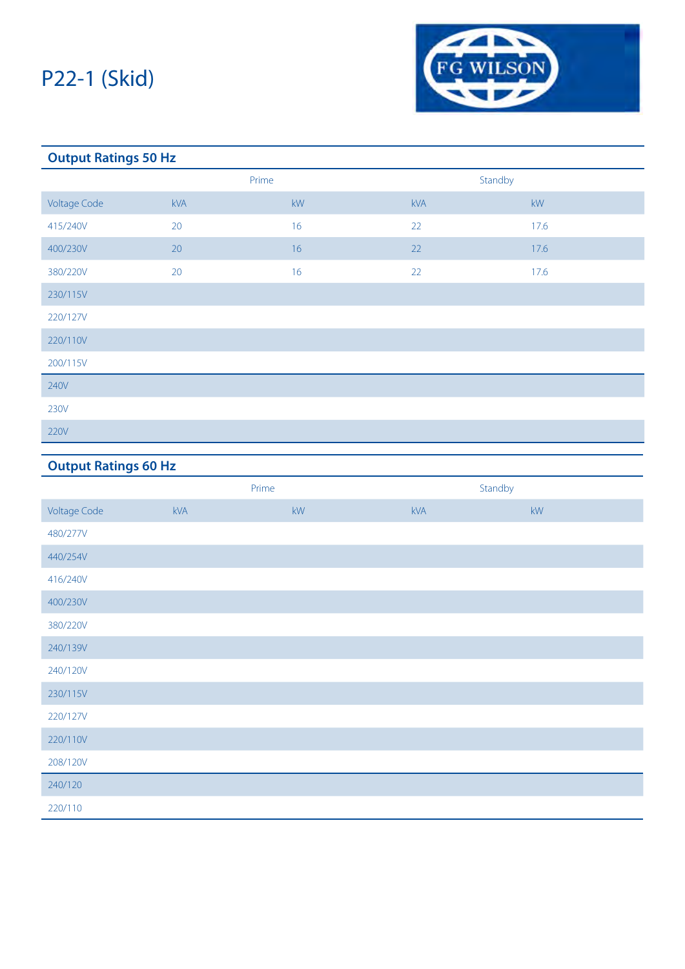

### **Output Ratings 50 Hz** Prime Standby Voltage Code kVA kW kVA kW 415/240V 20 20 16 22 20 17.6 400/230V 20 16 22 17.6 380/220V 20 20 16 22 20 17.6 230/115V 220/127V 220/110V 200/115V 240V 230V 220V

### **Output Ratings 60 Hz**

|                     | Prime |    | Standby |    |
|---------------------|-------|----|---------|----|
| <b>Voltage Code</b> | kVA   | kW | kVA     | kW |
| 480/277V            |       |    |         |    |
| 440/254V            |       |    |         |    |
| 416/240V            |       |    |         |    |
| 400/230V            |       |    |         |    |
| 380/220V            |       |    |         |    |
| 240/139V            |       |    |         |    |
| 240/120V            |       |    |         |    |
| 230/115V            |       |    |         |    |
| 220/127V            |       |    |         |    |
| 220/110V            |       |    |         |    |
| 208/120V            |       |    |         |    |
| 240/120             |       |    |         |    |
| 220/110             |       |    |         |    |